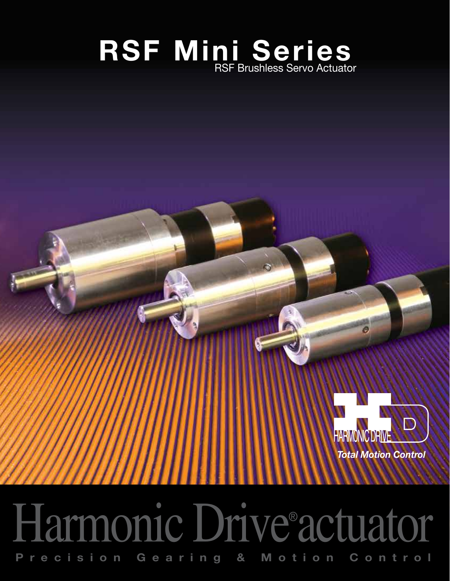# **RSF Mini Series** RSF Brushless Servo Actuator



# Harmonic Drive® actuator **Precision Gearing & Motion Control**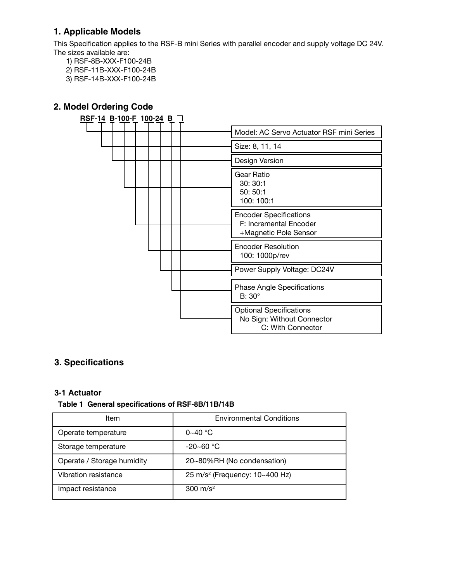#### **1. Applicable Models**

This Specification applies to the RSF-B mini Series with parallel encoder and supply voltage DC 24V. The sizes available are:

- 1) RSF-8B-XXX-F100-24B
- 2) RSF-11B-XXX-F100-24B
- 3) RSF-14B-XXX-F100-24B

#### **2. Model Ordering Code**



#### **3. Specifications**

#### **3-1 Actuator**

#### **Table 1 General specifications of RSF-8B/11B/14B**

| ltem                       | <b>Environmental Conditions</b>            |
|----------------------------|--------------------------------------------|
| Operate temperature        | $0 - 40$ °C                                |
| Storage temperature        | $-20 - 60$ °C                              |
| Operate / Storage humidity | 20~80%RH (No condensation)                 |
| Vibration resistance       | 25 m/s <sup>2</sup> (Frequency: 10~400 Hz) |
| Impact resistance          | 300 $m/s^2$                                |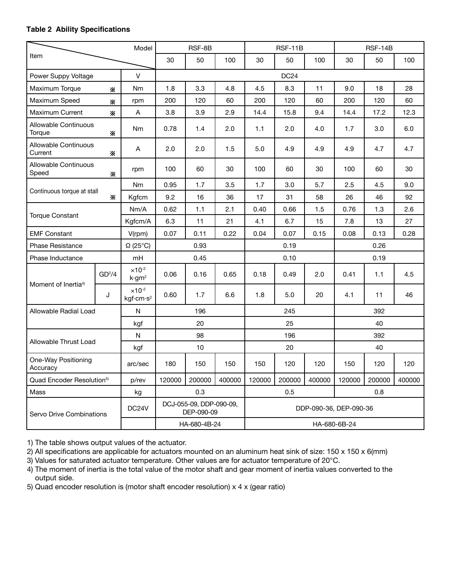#### **Table 2 Ability Specifications**

| Model                                  |                    | RSF-8B                                             |                                       | <b>RSF-11B</b> |                        |        | <b>RSF-14B</b>   |        |        |        |        |
|----------------------------------------|--------------------|----------------------------------------------------|---------------------------------------|----------------|------------------------|--------|------------------|--------|--------|--------|--------|
| Item                                   |                    |                                                    | 30                                    | 50             | 100                    | 30     | 50               | 100    | 30     | 50     | 100    |
| Power Suppy Voltage                    |                    | $\vee$                                             |                                       |                |                        |        | DC <sub>24</sub> |        |        |        |        |
| Maximum Torque                         | ☀                  | <b>Nm</b>                                          | 1.8                                   | 3.3            | 4.8                    | 4.5    | 8.3              | 11     | 9.0    | 18     | 28     |
| Maximum Speed                          | ☀                  | rpm                                                | 200                                   | 120            | 60                     | 200    | 120              | 60     | 200    | 120    | 60     |
| Maximum Current                        | ⋇                  | A                                                  | 3.8                                   | 3.9            | 2.9                    | 14.4   | 15.8             | 9.4    | 14.4   | 17.2   | 12.3   |
| Allowable Continuous<br>Torque         | ⋇                  | Nm                                                 | 0.78                                  | 1.4            | 2.0                    | 1.1    | 2.0              | 4.0    | 1.7    | 3.0    | 6.0    |
| <b>Allowable Continuous</b><br>Current | ☀                  | Α                                                  | 2.0                                   | 2.0            | 1.5                    | 5.0    | 4.9              | 4.9    | 4.9    | 4.7    | 4.7    |
| Allowable Continuous<br>Speed          | ⋇                  | rpm                                                | 100                                   | 60             | 30                     | 100    | 60               | 30     | 100    | 60     | 30     |
| Continuous torque at stall             |                    | Nm                                                 | 0.95                                  | 1.7            | 3.5                    | 1.7    | 3.0              | 5.7    | 2.5    | 4.5    | 9.0    |
|                                        | ⋇                  | Kgfcm                                              | 9.2                                   | 16             | 36                     | 17     | 31               | 58     | 26     | 46     | 92     |
|                                        |                    | Nm/A                                               | 0.62                                  | 1.1            | 2.1                    | 0.40   | 0.66             | 1.5    | 0.76   | 1.3    | 2.6    |
| <b>Torque Constant</b>                 |                    | Kgfcm/A                                            | 6.3                                   | 11             | 21                     | 4.1    | 6.7              | 15     | 7.8    | 13     | 27     |
| <b>EMF Constant</b>                    |                    | $V$ (rpm)                                          | 0.07                                  | 0.11           | 0.22                   | 0.04   | 0.07             | 0.15   | 0.08   | 0.13   | 0.28   |
| <b>Phase Resistance</b>                |                    | $\Omega$ (25°C)                                    | 0.93                                  |                | 0.19                   |        |                  | 0.26   |        |        |        |
| Phase Inductance                       |                    | mH                                                 | 0.45                                  |                | 0.10                   |        |                  | 0.19   |        |        |        |
|                                        | GD <sup>2</sup> /4 | $\times$ 10 <sup>-2</sup><br>k·gm²                 | 0.06                                  | 0.16           | 0.65                   | 0.18   | 0.49             | 2.0    | 0.41   | 1.1    | 4.5    |
| Moment of Inertia <sup>4)</sup>        | J                  | $\times$ 10 <sup>-2</sup><br>kgf·cm·s <sup>2</sup> | 0.60                                  | 1.7            | 6.6                    | 1.8    | 5.0              | 20     | 4.1    | 11     | 46     |
| Allowable Radial Load                  |                    | $\mathsf{N}$                                       |                                       | 196            |                        | 245    |                  |        | 392    |        |        |
|                                        |                    | kgf                                                | 20                                    |                | 25                     |        |                  | 40     |        |        |        |
| N<br>Allowable Thrust Load<br>kgf      |                    |                                                    | 98                                    |                | 196                    |        |                  | 392    |        |        |        |
|                                        |                    |                                                    | 10                                    |                |                        | 20     |                  |        | 40     |        |        |
| One-Way Positioning<br>Accuracy        |                    | arc/sec                                            | 180                                   | 150            | 150                    | 150    | 120              | 120    | 150    | 120    | 120    |
| Quad Encoder Resolution <sup>5)</sup>  |                    | p/rev                                              | 120000                                | 200000         | 400000                 | 120000 | 200000           | 400000 | 120000 | 200000 | 400000 |
| Mass                                   |                    | kg                                                 | 0.3                                   |                | 0.5<br>0.8             |        |                  |        |        |        |        |
| Servo Drive Combinations               |                    | DC24V                                              | DCJ-055-09, DDP-090-09,<br>DEP-090-09 |                | DDP-090-36, DEP-090-36 |        |                  |        |        |        |        |
|                                        |                    |                                                    | HA-680-4B-24                          |                | HA-680-6B-24           |        |                  |        |        |        |        |

1) The table shows output values of the actuator.

2) All specifications are applicable for actuators mounted on an aluminum heat sink of size: 150 x 150 x 6(mm)

3) Values for saturated actuator temperature. Other values are for actuator temperature of 20°C.

4) The moment of inertia is the total value of the motor shaft and gear moment of inertia values converted to the output side.

5) Quad encoder resolution is (motor shaft encoder resolution) x 4 x (gear ratio)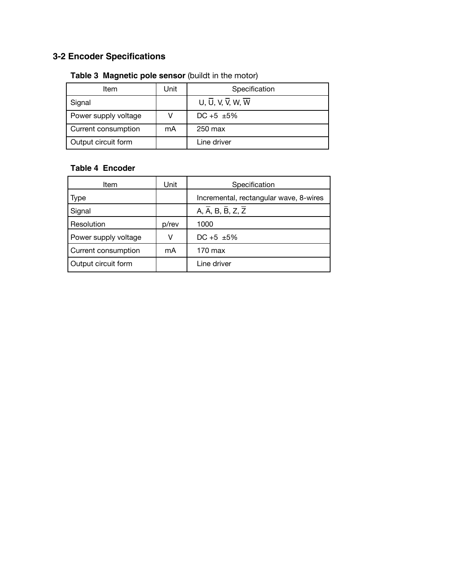## **3-2 Encoder Specifications**

#### **Table 3 Magnetic pole sensor** (buildt in the motor)

| Item                 | Unit | Specification    |
|----------------------|------|------------------|
| Signal               |      | U, U, V, V, W, W |
| Power supply voltage |      | $DC + 5 + 5\%$   |
| Current consumption  | mA   | 250 max          |
| Output circuit form  |      | Line driver      |

#### **Table 4 Encoder**

| Item                 | Unit  | Specification                                             |
|----------------------|-------|-----------------------------------------------------------|
| <b>Type</b>          |       | Incremental, rectangular wave, 8-wires                    |
| Signal               |       | A, $\overline{A}$ , B, $\overline{B}$ , Z, $\overline{Z}$ |
| Resolution           | p/rev | 1000                                                      |
| Power supply voltage | v     | DC +5 $\pm$ 5%                                            |
| Current consumption  | mA    | 170 max                                                   |
| Output circuit form  |       | Line driver                                               |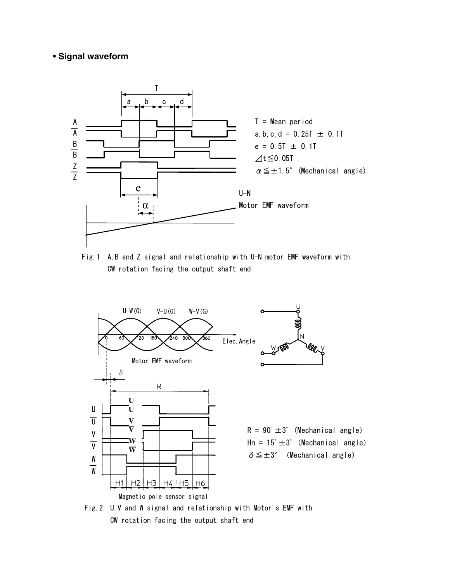## ● Signal waveform **• Signal waveform**

![](_page_4_Figure_1.jpeg)

Fig.1 A,B and Z signal and relationship with U-N motor EMF waveform with CW rotation facing the output shaft end

![](_page_4_Figure_3.jpeg)

Fig.2 U,V and W signal and relationship with Motor's EMF with CW rotation facing the output shaft end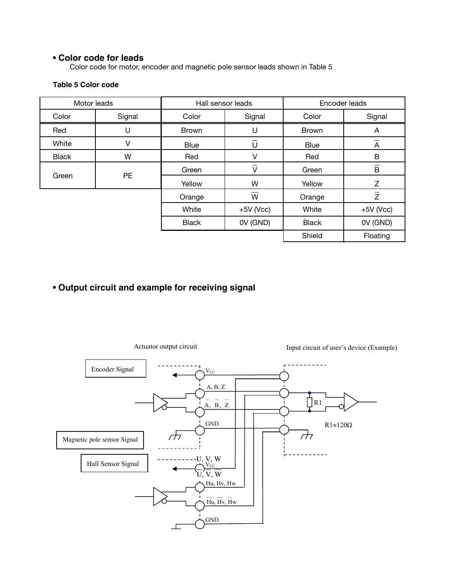#### **• Color code for leads**

Color code for motor, encoder and magnetic pole sensor leads shown in Table 5

### **Table 5 Color code 3-4 Color code for leads**

| Motor leads        |        | Hall sensor leads |             | Encoder leads |                         |  |
|--------------------|--------|-------------------|-------------|---------------|-------------------------|--|
| Color              | Signal | Color             | Signal      | Color         | Signal                  |  |
| Red                | U      | <b>Brown</b>      | U           | <b>Brown</b>  | A                       |  |
| White              | V      | <b>Blue</b>       | –<br>U      | <b>Blue</b>   | A                       |  |
| <b>Black</b>       | W      | Red               | V           | Red           | B                       |  |
| <b>PE</b><br>Green |        | Green             | V           | Green         | $\overline{\mathsf{B}}$ |  |
|                    | Yellow | W                 | Yellow      | Z             |                         |  |
|                    |        | Orange            | W           | Orange        | $\overline{z}$          |  |
|                    |        | White             | $+5V$ (Vcc) | White         | $+5V$ (Vcc)             |  |
|                    |        | <b>Black</b>      | OV (GND)    | <b>Black</b>  | OV (GND)                |  |
|                    |        |                   |             | Shield        | Floating                |  |

#### **• Output circuit and example for receiving signal**

**3-5 Output circuit and example for receiving signal**

![](_page_5_Figure_5.jpeg)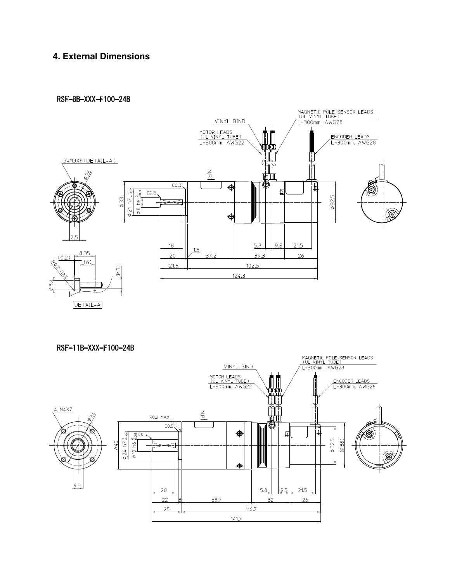# **4. External Dimensions**

#### RSF-8B-XXX-F100-24B

![](_page_6_Figure_2.jpeg)

DETAIL-A

![](_page_6_Figure_4.jpeg)

RSF-11B-XXX-F100-24B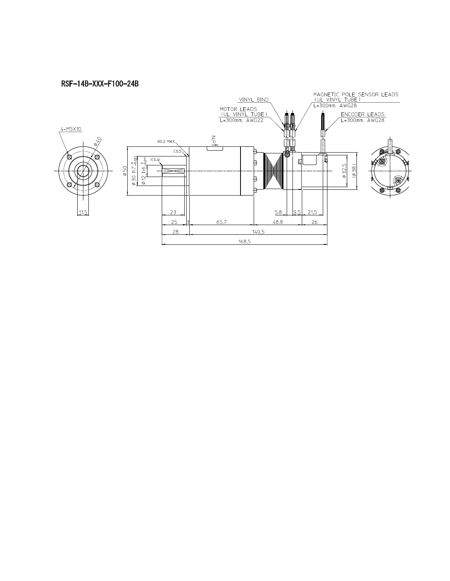#### RSF-14B-XXX-F100-24B

![](_page_7_Figure_1.jpeg)